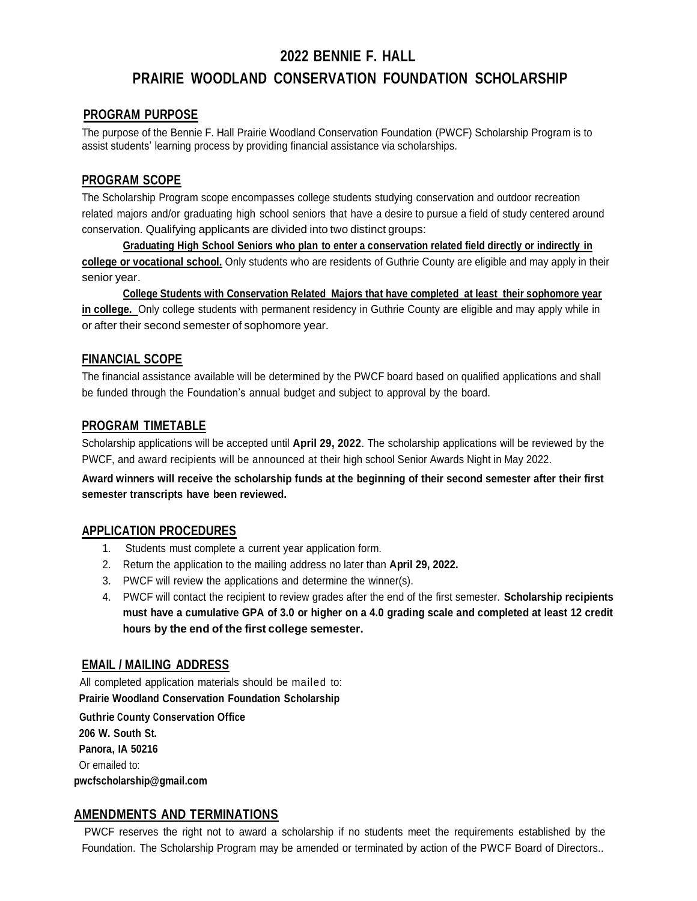# **2022 BENNIE F. HALL PRAIRIE WOODLAND CONSERVATION FOUNDATION SCHOLARSHIP**

#### **PROGRAM PURPOSE**

The purpose of the Bennie F. Hall Prairie Woodland Conservation Foundation (PWCF) Scholarship Program is to assist students' learning process by providing financial assistance via scholarships.

#### **PROGRAM SCOPE**

The Scholarship Program scope encompasses college students studying conservation and outdoor recreation related majors and/or graduating high school seniors that have a desire to pursue a field of study centered around conservation. Qualifying applicants are divided into two distinct groups:

**Graduating High School Seniors who plan to enter a conservation related field directly or indirectly in college or vocational school.** Only students who are residents of Guthrie County are eligible and may apply in their senior year.

**College Students with Conservation Related Majors that have completed at least their sophomore year in college.** Only college students with permanent residency in Guthrie County are eligible and may apply while in or after their second semester of sophomore year.

#### **FINANCIAL SCOPE**

The financial assistance available will be determined by the PWCF board based on qualified applications and shall be funded through the Foundation's annual budget and subject to approval by the board.

#### **PROGRAM TIMETABLE**

Scholarship applications will be accepted until **April 29, 2022**. The scholarship applications will be reviewed by the PWCF, and award recipients will be announced at their high school Senior Awards Night in May 2022.

**Award winners will receive the scholarship funds at the beginning of their second semester after their first semester transcripts have been reviewed.**

#### **APPLICATION PROCEDURES**

- 1. Students must complete a current year application form.
- 2. Return the application to the mailing address no later than **April 29, 2022.**
- 3. PWCF will review the applications and determine the winner(s).
- 4. PWCF will contact the recipient to review grades after the end of the first semester. **Scholarship recipients must have a cumulative GPA of 3.0 or higher on a 4.0 grading scale and completed at least 12 credit hours by the end of the first college semester.**

#### **EMAIL / MAILING ADDRESS**

All completed application materials should be mailed to: **Prairie Woodland Conservation Foundation Scholarship**

**Guthrie County Conservation Office 206 W. South St. Panora, IA 50216** Or emailed to: **pwcfscholarship@gmail.com**

#### **AMENDMENTS AND TERMINATIONS**

PWCF reserves the right not to award a scholarship if no students meet the requirements established by the Foundation. The Scholarship Program may be amended or terminated by action of the PWCF Board of Directors..